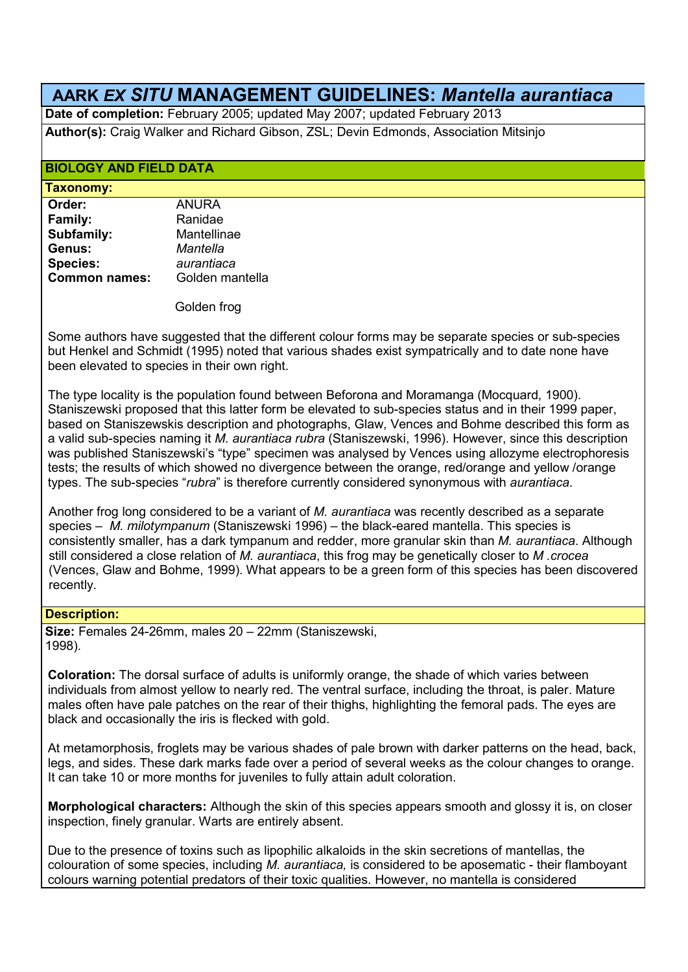# **AARK** *EX SITU* **MANAGEMENT GUIDELINES:** *Mantella aurantiaca*

**Date of completion:** February 2005; updated May 2007; updated February 2013

**Author(s):** Craig Walker and Richard Gibson, ZSL; Devin Edmonds, Association Mitsinjo

## **BIOLOGY AND FIELD DATA**

#### **Taxonomy:**

| Order:               | <b>ANURA</b>    |
|----------------------|-----------------|
| Family:              | Ranidae         |
| Subfamily:           | Mantellinae     |
| Genus:               | Mantella        |
| <b>Species:</b>      | aurantiaca      |
| <b>Common names:</b> | Golden mantella |
|                      |                 |

Golden frog

Some authors have suggested that the different colour forms may be separate species or sub-species but Henkel and Schmidt (1995) noted that various shades exist sympatrically and to date none have been elevated to species in their own right.

The type locality is the population found between Beforona and Moramanga (Mocquard, 1900). Staniszewski proposed that this latter form be elevated to sub-species status and in their 1999 paper, based on Staniszewskis description and photographs, Glaw, Vences and Bohme described this form as a valid sub-species naming it *M. aurantiaca rubra* (Staniszewski, 1996). However, since this description was published Staniszewski's "type" specimen was analysed by Vences using allozyme electrophoresis tests; the results of which showed no divergence between the orange, red/orange and yellow /orange types. The sub-species "*rubra*" is therefore currently considered synonymous with *aurantiaca*.

 Another frog long considered to be a variant of *M. aurantiaca* was recently described as a separate species – *M. milotympanum* (Staniszewski 1996) – the black-eared mantella. This species is consistently smaller, has a dark tympanum and redder, more granular skin than *M. aurantiaca*. Although still considered a close relation of *M. aurantiaca*, this frog may be genetically closer to *M .crocea* (Vences, Glaw and Bohme, 1999). What appears to be a green form of this species has been discovered recently.

## **Description:**

**Size:** Females 24-26mm, males 20 – 22mm (Staniszewski, 1998).

**Coloration:** The dorsal surface of adults is uniformly orange, the shade of which varies between individuals from almost yellow to nearly red. The ventral surface, including the throat, is paler. Mature males often have pale patches on the rear of their thighs, highlighting the femoral pads. The eyes are black and occasionally the iris is flecked with gold.

At metamorphosis, froglets may be various shades of pale brown with darker patterns on the head, back, legs, and sides. These dark marks fade over a period of several weeks as the colour changes to orange. It can take 10 or more months for juveniles to fully attain adult coloration.

**Morphological characters:** Although the skin of this species appears smooth and glossy it is, on closer inspection, finely granular. Warts are entirely absent.

Due to the presence of toxins such as lipophilic alkaloids in the skin secretions of mantellas, the colouration of some species, including *M. aurantiaca,* is considered to be aposematic - their flamboyant colours warning potential predators of their toxic qualities. However, no mantella is considered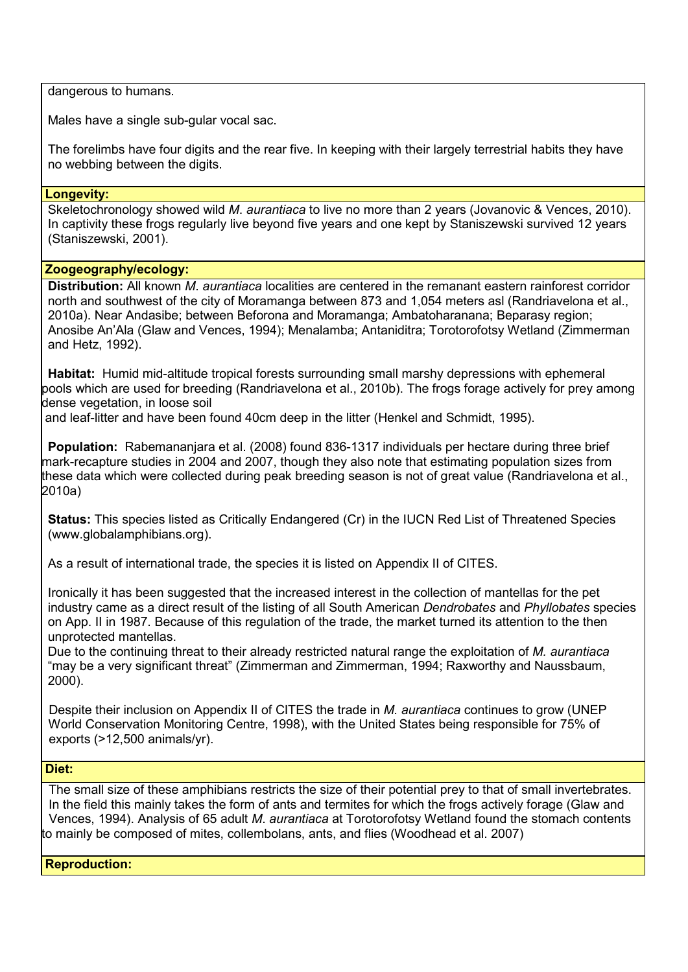dangerous to humans.

Males have a single sub-gular vocal sac.

The forelimbs have four digits and the rear five. In keeping with their largely terrestrial habits they have no webbing between the digits.

#### **Longevity:**

Skeletochronology showed wild *M*. *aurantiaca* to live no more than 2 years (Jovanovic & Vences, 2010). In captivity these frogs regularly live beyond five years and one kept by Staniszewski survived 12 years (Staniszewski, 2001).

## **Zoogeography/ecology:**

**Distribution:** All known *M*. *aurantiaca* localities are centered in the remanant eastern rainforest corridor north and southwest of the city of Moramanga between 873 and 1,054 meters asl (Randriavelona et al., 2010a). Near Andasibe; between Beforona and Moramanga; Ambatoharanana; Beparasy region; Anosibe An'Ala (Glaw and Vences, 1994); Menalamba; Antaniditra; Torotorofotsy Wetland (Zimmerman and Hetz, 1992).

**Habitat:** Humid mid-altitude tropical forests surrounding small marshy depressions with ephemeral pools which are used for breeding (Randriavelona et al., 2010b). The frogs forage actively for prey among dense vegetation, in loose soil

and leaf-litter and have been found 40cm deep in the litter (Henkel and Schmidt, 1995).

**Population:** Rabemananjara et al. (2008) found 836-1317 individuals per hectare during three brief mark-recapture studies in 2004 and 2007, though they also note that estimating population sizes from these data which were collected during peak breeding season is not of great value (Randriavelona et al., 2010a)

**Status:** This species listed as Critically Endangered (Cr) in the IUCN Red List of Threatened Species (www.globalamphibians.org).

As a result of international trade, the species it is listed on Appendix II of CITES.

Ironically it has been suggested that the increased interest in the collection of mantellas for the pet industry came as a direct result of the listing of all South American *Dendrobates* and *Phyllobates* species on App. II in 1987. Because of this regulation of the trade, the market turned its attention to the then unprotected mantellas.

Due to the continuing threat to their already restricted natural range the exploitation of *M. aurantiaca* "may be a very significant threat" (Zimmerman and Zimmerman, 1994; Raxworthy and Naussbaum, 2000).

 Despite their inclusion on Appendix II of CITES the trade in *M. aurantiaca* continues to grow (UNEP World Conservation Monitoring Centre, 1998), with the United States being responsible for 75% of exports (>12,500 animals/yr).

## **Diet:**

 The small size of these amphibians restricts the size of their potential prey to that of small invertebrates. In the field this mainly takes the form of ants and termites for which the frogs actively forage (Glaw and Vences, 1994). Analysis of 65 adult *M*. *aurantiaca* at Torotorofotsy Wetland found the stomach contents to mainly be composed of mites, collembolans, ants, and flies (Woodhead et al. 2007)

**Reproduction:**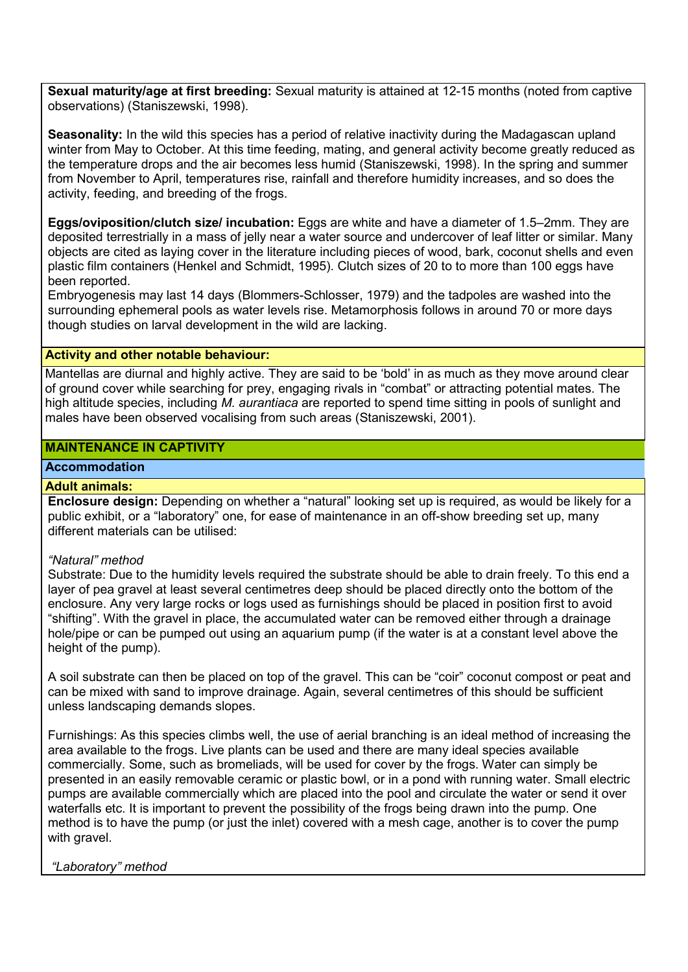**Sexual maturity/age at first breeding:** Sexual maturity is attained at 12-15 months (noted from captive observations) (Staniszewski, 1998).

**Seasonality:** In the wild this species has a period of relative inactivity during the Madagascan upland winter from May to October. At this time feeding, mating, and general activity become greatly reduced as the temperature drops and the air becomes less humid (Staniszewski, 1998). In the spring and summer from November to April, temperatures rise, rainfall and therefore humidity increases, and so does the activity, feeding, and breeding of the frogs.

**Eggs/oviposition/clutch size/ incubation:** Eggs are white and have a diameter of 1.5–2mm. They are deposited terrestrially in a mass of jelly near a water source and undercover of leaf litter or similar. Many objects are cited as laying cover in the literature including pieces of wood, bark, coconut shells and even plastic film containers (Henkel and Schmidt, 1995). Clutch sizes of 20 to to more than 100 eggs have been reported.

Embryogenesis may last 14 days (Blommers-Schlosser, 1979) and the tadpoles are washed into the surrounding ephemeral pools as water levels rise. Metamorphosis follows in around 70 or more days though studies on larval development in the wild are lacking.

## **Activity and other notable behaviour:**

Mantellas are diurnal and highly active. They are said to be 'bold' in as much as they move around clear of ground cover while searching for prey, engaging rivals in "combat" or attracting potential mates. The high altitude species, including *M. aurantiaca* are reported to spend time sitting in pools of sunlight and males have been observed vocalising from such areas (Staniszewski, 2001).

## **MAINTENANCE IN CAPTIVITY**

# **Accommodation**

#### **Adult animals:**

**Enclosure design:** Depending on whether a "natural" looking set up is required, as would be likely for a public exhibit, or a "laboratory" one, for ease of maintenance in an off-show breeding set up, many different materials can be utilised:

#### *"Natural" method*

Substrate: Due to the humidity levels required the substrate should be able to drain freely. To this end a layer of pea gravel at least several centimetres deep should be placed directly onto the bottom of the enclosure. Any very large rocks or logs used as furnishings should be placed in position first to avoid "shifting". With the gravel in place, the accumulated water can be removed either through a drainage hole/pipe or can be pumped out using an aquarium pump (if the water is at a constant level above the height of the pump).

A soil substrate can then be placed on top of the gravel. This can be "coir" coconut compost or peat and can be mixed with sand to improve drainage. Again, several centimetres of this should be sufficient unless landscaping demands slopes.

Furnishings: As this species climbs well, the use of aerial branching is an ideal method of increasing the area available to the frogs. Live plants can be used and there are many ideal species available commercially. Some, such as bromeliads, will be used for cover by the frogs. Water can simply be presented in an easily removable ceramic or plastic bowl, or in a pond with running water. Small electric pumps are available commercially which are placed into the pool and circulate the water or send it over waterfalls etc. It is important to prevent the possibility of the frogs being drawn into the pump. One method is to have the pump (or just the inlet) covered with a mesh cage, another is to cover the pump with gravel.

#### *"Laboratory" method*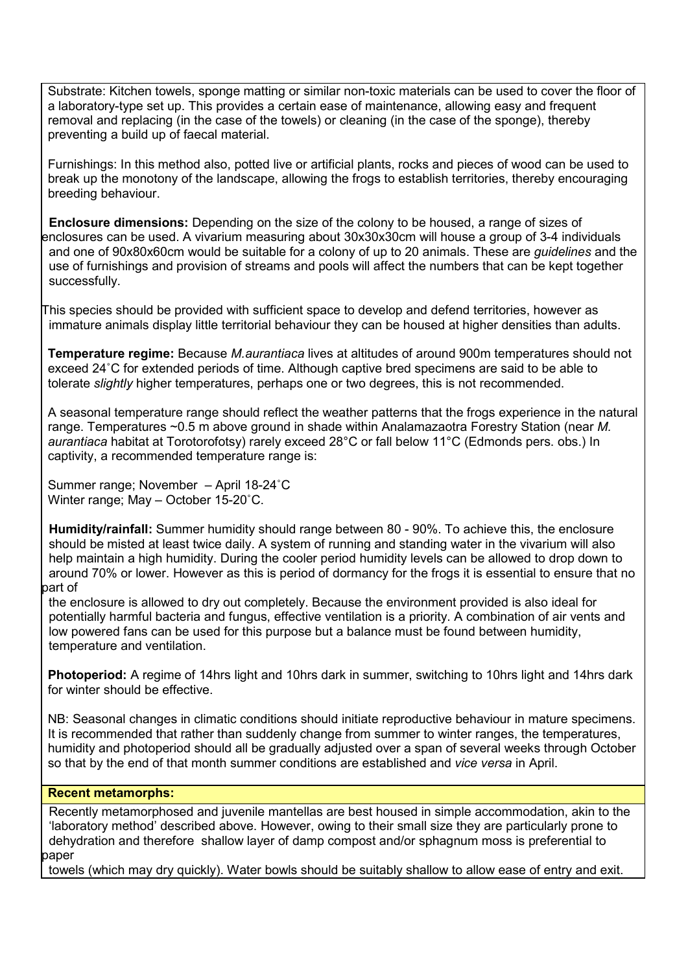Substrate: Kitchen towels, sponge matting or similar non-toxic materials can be used to cover the floor of a laboratory-type set up. This provides a certain ease of maintenance, allowing easy and frequent removal and replacing (in the case of the towels) or cleaning (in the case of the sponge), thereby preventing a build up of faecal material.

Furnishings: In this method also, potted live or artificial plants, rocks and pieces of wood can be used to break up the monotony of the landscape, allowing the frogs to establish territories, thereby encouraging breeding behaviour.

 **Enclosure dimensions:** Depending on the size of the colony to be housed, a range of sizes of enclosures can be used. A vivarium measuring about 30x30x30cm will house a group of 3-4 individuals and one of 90x80x60cm would be suitable for a colony of up to 20 animals. These are *guidelines* and the use of furnishings and provision of streams and pools will affect the numbers that can be kept together successfully.

This species should be provided with sufficient space to develop and defend territories, however as immature animals display little territorial behaviour they can be housed at higher densities than adults.

**Temperature regime:** Because *M.aurantiaca* lives at altitudes of around 900m temperatures should not exceed 24˚C for extended periods of time. Although captive bred specimens are said to be able to tolerate *slightly* higher temperatures, perhaps one or two degrees, this is not recommended.

A seasonal temperature range should reflect the weather patterns that the frogs experience in the natural range. Temperatures ~0.5 m above ground in shade within Analamazaotra Forestry Station (near *M. aurantiaca* habitat at Torotorofotsy) rarely exceed 28°C or fall below 11°C (Edmonds pers. obs.) In captivity, a recommended temperature range is:

Summer range; November – April 18-24˚C Winter range; May – October 15-20˚C.

**Humidity/rainfall:** Summer humidity should range between 80 - 90%. To achieve this, the enclosure should be misted at least twice daily. A system of running and standing water in the vivarium will also help maintain a high humidity. During the cooler period humidity levels can be allowed to drop down to around 70% or lower. However as this is period of dormancy for the frogs it is essential to ensure that no part of

 the enclosure is allowed to dry out completely. Because the environment provided is also ideal for potentially harmful bacteria and fungus, effective ventilation is a priority. A combination of air vents and low powered fans can be used for this purpose but a balance must be found between humidity, temperature and ventilation.

**Photoperiod:** A regime of 14hrs light and 10hrs dark in summer, switching to 10hrs light and 14hrs dark for winter should be effective.

NB: Seasonal changes in climatic conditions should initiate reproductive behaviour in mature specimens. It is recommended that rather than suddenly change from summer to winter ranges, the temperatures, humidity and photoperiod should all be gradually adjusted over a span of several weeks through October so that by the end of that month summer conditions are established and *vice versa* in April.

# **Recent metamorphs:**

 Recently metamorphosed and juvenile mantellas are best housed in simple accommodation, akin to the 'laboratory method' described above. However, owing to their small size they are particularly prone to dehydration and therefore shallow layer of damp compost and/or sphagnum moss is preferential to paper

towels (which may dry quickly). Water bowls should be suitably shallow to allow ease of entry and exit.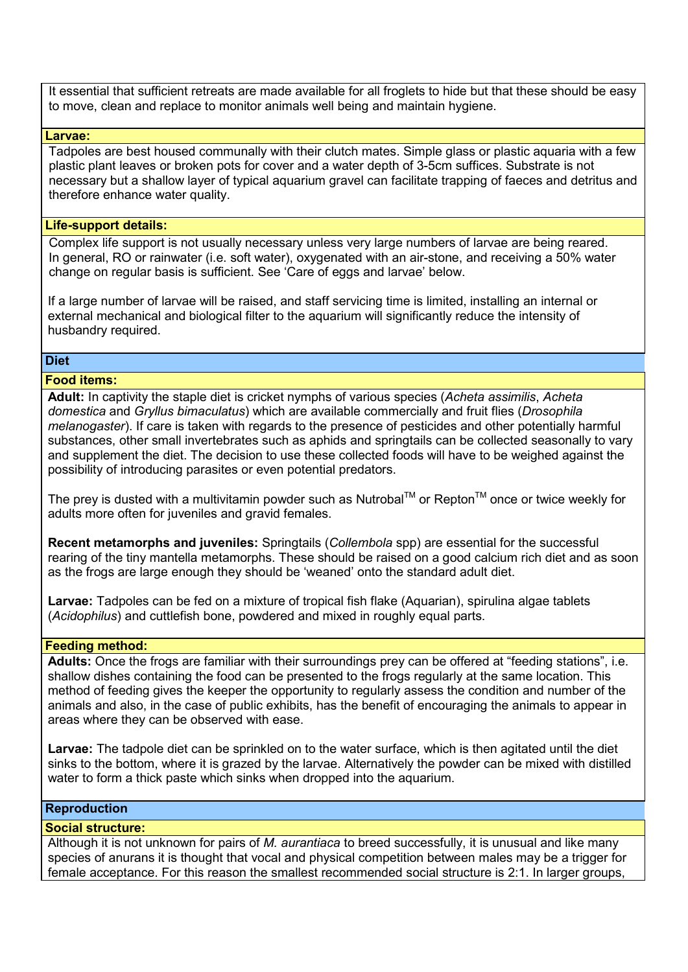It essential that sufficient retreats are made available for all froglets to hide but that these should be easy to move, clean and replace to monitor animals well being and maintain hygiene.

#### **Larvae:**

 Tadpoles are best housed communally with their clutch mates. Simple glass or plastic aquaria with a few plastic plant leaves or broken pots for cover and a water depth of 3-5cm suffices. Substrate is not necessary but a shallow layer of typical aquarium gravel can facilitate trapping of faeces and detritus and therefore enhance water quality.

## **Life-support details:**

 Complex life support is not usually necessary unless very large numbers of larvae are being reared. In general, RO or rainwater (i.e. soft water), oxygenated with an air-stone, and receiving a 50% water change on regular basis is sufficient. See 'Care of eggs and larvae' below.

If a large number of larvae will be raised, and staff servicing time is limited, installing an internal or external mechanical and biological filter to the aquarium will significantly reduce the intensity of husbandry required.

## **Diet**

## **Food items:**

**Adult:** In captivity the staple diet is cricket nymphs of various species (*Acheta assimilis*, *Acheta domestica* and *Gryllus bimaculatus*) which are available commercially and fruit flies (*Drosophila melanogaster*). If care is taken with regards to the presence of pesticides and other potentially harmful substances, other small invertebrates such as aphids and springtails can be collected seasonally to vary and supplement the diet. The decision to use these collected foods will have to be weighed against the possibility of introducing parasites or even potential predators.

The prey is dusted with a multivitamin powder such as Nutrobal<sup>TM</sup> or Repton<sup>TM</sup> once or twice weekly for adults more often for juveniles and gravid females.

**Recent metamorphs and juveniles:** Springtails (*Collembola* spp) are essential for the successful rearing of the tiny mantella metamorphs. These should be raised on a good calcium rich diet and as soon as the frogs are large enough they should be 'weaned' onto the standard adult diet.

**Larvae:** Tadpoles can be fed on a mixture of tropical fish flake (Aquarian), spirulina algae tablets (*Acidophilus*) and cuttlefish bone, powdered and mixed in roughly equal parts.

#### **Feeding method:**

**Adults:** Once the frogs are familiar with their surroundings prey can be offered at "feeding stations", i.e. shallow dishes containing the food can be presented to the frogs regularly at the same location. This method of feeding gives the keeper the opportunity to regularly assess the condition and number of the animals and also, in the case of public exhibits, has the benefit of encouraging the animals to appear in areas where they can be observed with ease.

**Larvae:** The tadpole diet can be sprinkled on to the water surface, which is then agitated until the diet sinks to the bottom, where it is grazed by the larvae. Alternatively the powder can be mixed with distilled water to form a thick paste which sinks when dropped into the aquarium.

## **Reproduction**

#### **Social structure:**

Although it is not unknown for pairs of *M. aurantiaca* to breed successfully, it is unusual and like many species of anurans it is thought that vocal and physical competition between males may be a trigger for female acceptance. For this reason the smallest recommended social structure is 2:1. In larger groups,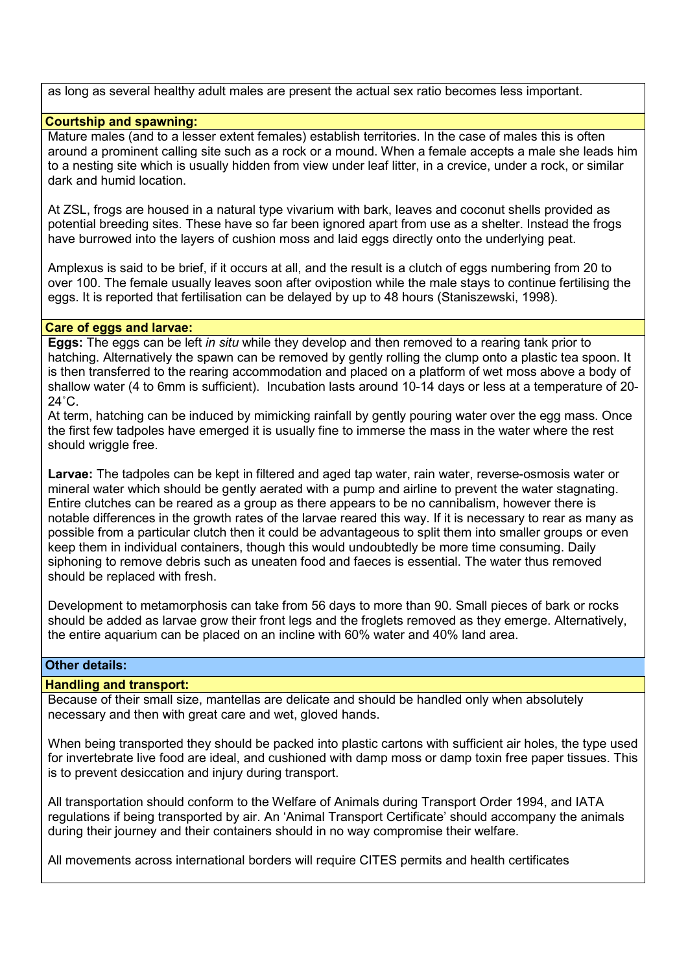as long as several healthy adult males are present the actual sex ratio becomes less important.

## **Courtship and spawning:**

Mature males (and to a lesser extent females) establish territories. In the case of males this is often around a prominent calling site such as a rock or a mound. When a female accepts a male she leads him to a nesting site which is usually hidden from view under leaf litter, in a crevice, under a rock, or similar dark and humid location.

At ZSL, frogs are housed in a natural type vivarium with bark, leaves and coconut shells provided as potential breeding sites. These have so far been ignored apart from use as a shelter. Instead the frogs have burrowed into the layers of cushion moss and laid eggs directly onto the underlying peat.

Amplexus is said to be brief, if it occurs at all, and the result is a clutch of eggs numbering from 20 to over 100. The female usually leaves soon after ovipostion while the male stays to continue fertilising the eggs. It is reported that fertilisation can be delayed by up to 48 hours (Staniszewski, 1998).

#### **Care of eggs and larvae:**

**Eggs:** The eggs can be left *in situ* while they develop and then removed to a rearing tank prior to hatching. Alternatively the spawn can be removed by gently rolling the clump onto a plastic tea spoon. It is then transferred to the rearing accommodation and placed on a platform of wet moss above a body of shallow water (4 to 6mm is sufficient). Incubation lasts around 10-14 days or less at a temperature of 20-  $24^\circ$ C.

At term, hatching can be induced by mimicking rainfall by gently pouring water over the egg mass. Once the first few tadpoles have emerged it is usually fine to immerse the mass in the water where the rest should wriggle free.

**Larvae:** The tadpoles can be kept in filtered and aged tap water, rain water, reverse-osmosis water or mineral water which should be gently aerated with a pump and airline to prevent the water stagnating. Entire clutches can be reared as a group as there appears to be no cannibalism, however there is notable differences in the growth rates of the larvae reared this way. If it is necessary to rear as many as possible from a particular clutch then it could be advantageous to split them into smaller groups or even keep them in individual containers, though this would undoubtedly be more time consuming. Daily siphoning to remove debris such as uneaten food and faeces is essential. The water thus removed should be replaced with fresh.

Development to metamorphosis can take from 56 days to more than 90. Small pieces of bark or rocks should be added as larvae grow their front legs and the froglets removed as they emerge. Alternatively, the entire aquarium can be placed on an incline with 60% water and 40% land area.

## **Other details:**

I

## **Handling and transport:**

Because of their small size, mantellas are delicate and should be handled only when absolutely necessary and then with great care and wet, gloved hands.

When being transported they should be packed into plastic cartons with sufficient air holes, the type used for invertebrate live food are ideal, and cushioned with damp moss or damp toxin free paper tissues. This is to prevent desiccation and injury during transport.

All transportation should conform to the Welfare of Animals during Transport Order 1994, and IATA regulations if being transported by air. An 'Animal Transport Certificate' should accompany the animals during their journey and their containers should in no way compromise their welfare.

All movements across international borders will require CITES permits and health certificates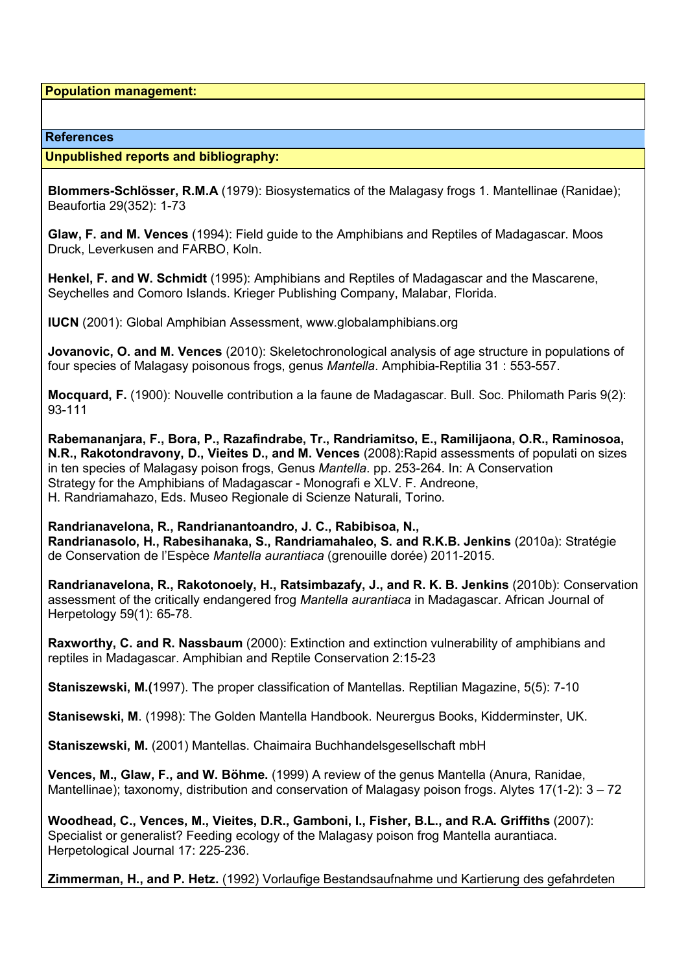**Population management:**

#### **References**

#### **Unpublished reports and bibliography:**

**Blommers-Schlösser, R.M.A** (1979): Biosystematics of the Malagasy frogs 1. Mantellinae (Ranidae); Beaufortia 29(352): 1-73

**Glaw, F. and M. Vences** (1994): Field guide to the Amphibians and Reptiles of Madagascar. Moos Druck, Leverkusen and FARBO, Koln.

**Henkel, F. and W. Schmidt** (1995): Amphibians and Reptiles of Madagascar and the Mascarene, Seychelles and Comoro Islands. Krieger Publishing Company, Malabar, Florida.

**IUCN** (2001): Global Amphibian Assessment, www.globalamphibians.org

**Jovanovic, O. and M. Vences** (2010): Skeletochronological analysis of age structure in populations of four species of Malagasy poisonous frogs, genus *Mantella*. Amphibia-Reptilia 31 : 553-557.

**Mocquard, F.** (1900): Nouvelle contribution a la faune de Madagascar. Bull. Soc. Philomath Paris 9(2): 93-111

**Rabemananjara, F., Bora, P., Razafindrabe, Tr., Randriamitso, E., Ramilijaona, O.R., Raminosoa, N.R., Rakotondravony, D., Vieites D., and M. Vences** (2008):Rapid assessments of populati on sizes in ten species of Malagasy poison frogs, Genus *Mantella*. pp. 253-264. In: A Conservation Strategy for the Amphibians of Madagascar - Monografi e XLV. F. Andreone, H. Randriamahazo, Eds. Museo Regionale di Scienze Naturali, Torino.

**Randrianavelona, R., Randrianantoandro, J. C., Rabibisoa, N., Randrianasolo, H., Rabesihanaka, S., Randriamahaleo, S. and R.K.B. Jenkins** (2010a): Stratégie de Conservation de l'Espèce *Mantella aurantiaca* (grenouille dorée) 2011-2015.

**Randrianavelona, R., Rakotonoely, H., Ratsimbazafy, J., and R. K. B. Jenkins** (2010b): Conservation assessment of the critically endangered frog *Mantella aurantiaca* in Madagascar. African Journal of Herpetology 59(1): 65-78.

**Raxworthy, C. and R. Nassbaum** (2000): Extinction and extinction vulnerability of amphibians and reptiles in Madagascar. Amphibian and Reptile Conservation 2:15-23

**Staniszewski, M.(**1997). The proper classification of Mantellas. Reptilian Magazine, 5(5): 7-10

**Stanisewski, M**. (1998): The Golden Mantella Handbook. Neurergus Books, Kidderminster, UK.

**Staniszewski, M.** (2001) Mantellas. Chaimaira Buchhandelsgesellschaft mbH

**Vences, M., Glaw, F., and W. Böhme.** (1999) A review of the genus Mantella (Anura, Ranidae, Mantellinae); taxonomy, distribution and conservation of Malagasy poison frogs. Alytes 17(1-2): 3 – 72

**Woodhead, C., Vences, M., Vieites, D.R., Gamboni, I., Fisher, B.L., and R.A. Griffiths** (2007): Specialist or generalist? Feeding ecology of the Malagasy poison frog Mantella aurantiaca. Herpetological Journal 17: 225-236.

**Zimmerman, H., and P. Hetz.** (1992) Vorlaufige Bestandsaufnahme und Kartierung des gefahrdeten